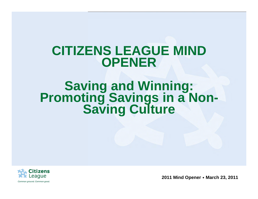## **CITIZENS LEAGUE MIND OPENER**

# **Saving and Winning: Promoting Savings in a Non- Saving Culture**

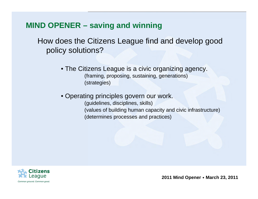How does the Citizens League find and develop good policy solutions?

- The Citizens League is a civic organizing agency. (framing, proposing, sustaining, generations) (strategies)
- Operating principles govern our work. (guidelines, disciplines, skills) (values of building human capacity and civic infrastructure) (determines processes and practices)

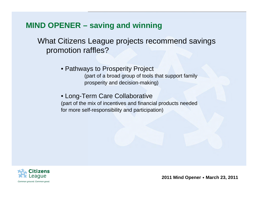What Citizens League projects recommend savings promotion raffles?

• Pathways to Prosperity Project

(part of a broad group of tools that support family prosperity and decision-making)

• Long-Term Care Collaborative

(part of the mix of incentives and financial products needed for more self-responsibility and participation)

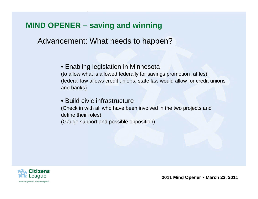Advancement: What needs to happen?

#### • Enabling legislation in Minnesota

(to allow what is allowed federally for savings promotion raffles) (federal law allows credit unions, state law would allow for credit unions and banks)

#### • Build civic infrastructure

(Check in with all who have been involved in the two projects and define their roles)

(Gauge support and possible opposition)

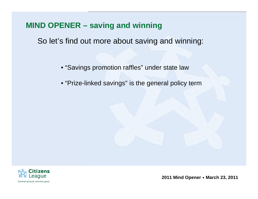So let's find out more about saving and winning:

- "Savings promotion raffles" under state law
- "Prize-linked savings" is the general policy term

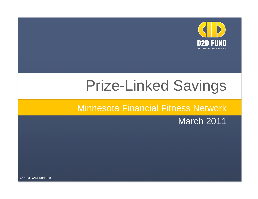

# Prize-Linked Savings

#### Minnesota Financial Fitness Network

#### March 2011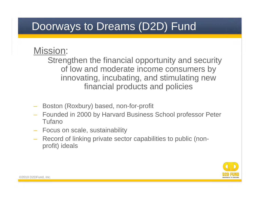## Doorways to Dreams (D2D) Fund

#### Mission:

Strengthen the financial opportunity and security of low and moderate income consumers by innovating, incubating, and stimulating new financial products and policies

- Boston (Roxbury) based, non-for-profit
- Founded in 2000 by Harvard Business School professor Peter Tufano
- Focus on scale, sustainability
- Record of linking private sector capabilities to public (nonprofit) ideals

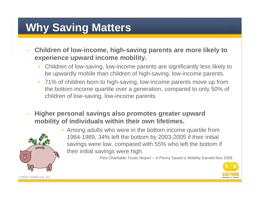## **Why Saving Matters**

- **Children of low-income, high-saving parents are more likely to experience upward income mobility.**
	- + Children of low-saving, low-income parents are significantly less likely to<br>he unverdly mabile than objidren of bigh agving, low income parents be upwardly mobile than children of high-saving, low-income parents.
	- + 71% of children born to high-saving, low-income parents move up from the bottom income quartile over a generation, compared to only 50% of children of low-saving, low-income parents.
- **Higher personal savings also promotes greater upward mobility of individuals within their own lifetimes.**



+ Among adults who were in the bottom income quartile from 1984-1989, 34% left the bottom by 2003-2005 if their initial savings were low, compared with 55% who left the bottom if their initial savings were high.

Pew Charitable Trusts Report – A Penny Saved is Mobility Earned Nov 2009

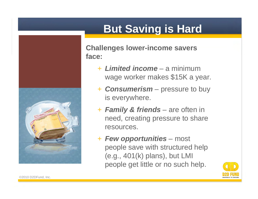

## **But Saving is Hard**

**Challenges lower-income savers face:**

- + *Limited income* a minimum wage worker makes \$15K a year.
- + *Consumerism* pressure to buy is everywhere.
- + *Family & friends* are often in need, creating pressure to share resources.
- + *Few opportunities* most people save with structured help (e.g., 401(k) plans), but LMI people get little or no such help.

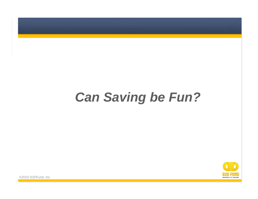## *Can Saving be Fun?*

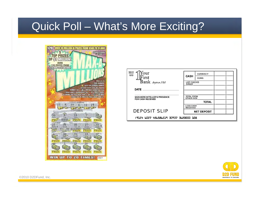### Quick Poll – What's More Exciting?



| 322-21<br>∕our<br>1610<br>irst<br>Bank Ampoon,USA                  | CASH<br><b>LIST CHECKS</b><br>SINGLY               | CURRENCY<br>COINS |  |  |
|--------------------------------------------------------------------|----------------------------------------------------|-------------------|--|--|
| DATE<br><b>SIGN HERE IN TELLER'S PRESENCE</b><br>FOR CASH RECEIVED | TOTAL FROM<br><b>OTHER SIDE</b><br>TOTAL           |                   |  |  |
| <b>DEPOSIT SLIP</b>                                                | <b>LESS CASH</b><br>RECEIVED<br><b>NET DEPOSIT</b> |                   |  |  |
| :9124 6027 486586519 30937 3620000 108                             |                                                    |                   |  |  |

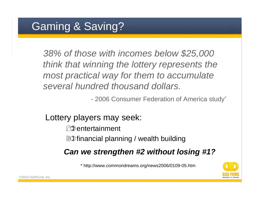## Gaming & Saving?

*38% of those with incomes below \$25,000 think that winning the lottery represents the most practical way for them to accumulate several hundred thousand dollars.*

- 2006 Consumer Federation of America study<sup>\*</sup>

#### Lottery players may seek:

#### $\nabla\mathbf{\hat{x}}$ entertainment

**ED** financial planning / wealth building

#### *Can we strengthen #2 without losing #1?*

\* http://www.commondreams.org/news2006/0109-05.htm

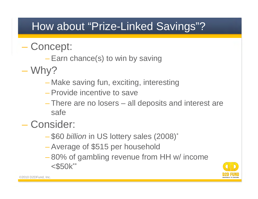## How about "Prize-Linked Savings"?

## – Concept:

- Earn chance(s) to win by saving
- Why?
	- Make saving fun, exciting, interesting
	- Provide incentive to save
	- There are no losers all deposits and interest are safe
- Consider:
	- \$60 *billion* in US lottery sales (2008)\*
	- Average of \$515 per household
	- 80% of gambling revenue from HH w/ income <\$50k\*\*

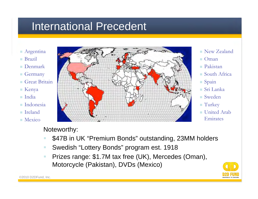## International Precedent

- **Argentina**
- **Brazil**
- Denmark
- Germany
- Great Britain
- Kenya
- India
- Indonesia
- Ireland
- **Mexico**



- New Zealand
- Oman
- Pakistan
- South Africa
- Spain
- Sri Lanka
- Sweden
- **Turkey**
- **United Arab** Emirates

#### Noteworthy:

- \$47B in UK "Premium Bonds" outstanding, 23MM holders
- Swedish "Lottery Bonds" program est. 1918
- **Prizes range: \$1.7M tax free (UK), Mercedes (Oman),** Motorcycle (Pakistan), DVDs (Mexico)

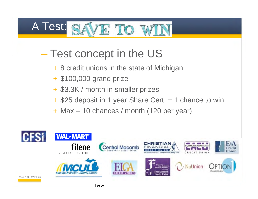#### A Test: TO :

- Test concept in the US
	- + 8 credit unions in the state of Michigan
	- + \$100,000 grand prize
	- + \$3.3K / month in smaller prizes
	- + \$25 deposit in 1 year Share Cert. = 1 chance to win
	- + Max = 10 chances / month (120 per year)

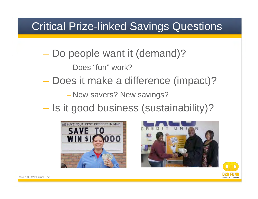## Critical Prize-linked Savings Questions

– Do people want it (demand)?

– Does "fun" work?

– Does it make a difference (impact)?

– New savers? New savings?

– Is it good business (sustainability)?





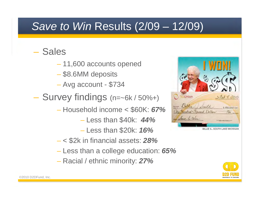## *Save to Win* Results (2/09 – 12/09)

#### – Sales

- 11,600 accounts opened
- \$8.6MM deposits
- Avg account \$734
- Survey findings (n=~6k / 50%+)
	- Household income < \$60K: *67%*
		- Less than \$40k: *44%*
		- Less than \$20k: *16%*
	- < \$2k in financial assets: *28%*
	- Less than a college education: *65%*
	- Racial / ethnic minority: *27%*



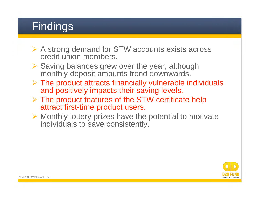## **Findings**

- **► A strong demand for STW accounts exists across** credit union members.
- $\triangleright$  Saving balances grew over the year, although monthly deposit amounts trend downwards.
- $\triangleright$  The product attracts financially vulnerable individuals and positively impacts their saving levels.
- $\triangleright$  The product features of the STW certificate help attract first-time product users.
- $\triangleright$  Monthly lottery prizes have the potential to motivate individuals to save consistently.

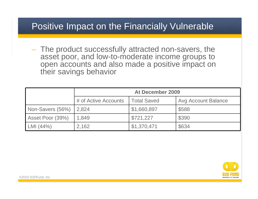#### Positive Impact on the Financially Vulnerable

– The product successfully attracted non-savers, the asset poor, and low-to-moderate income groups to open accounts and also made a positive impact on their savings behavior

|                  | <b>At December 2009</b> |                    |                            |  |
|------------------|-------------------------|--------------------|----------------------------|--|
|                  | # of Active Accounts    | <b>Total Saved</b> | <b>Avg Account Balance</b> |  |
| Non-Savers (56%) | 2.824                   | \$1,660,897        | \$588                      |  |
| Asset Poor (39%) | 1,849                   | \$721,227          | \$390                      |  |
| LMI (44%)        | 2,162                   | \$1,370,471        | \$634                      |  |

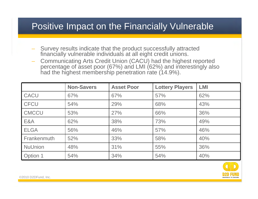#### Positive Impact on the Financially Vulnerable

- Survey results indicate that the product successfully attracted financially vulnerable individuals at all eight credit unions.
- Communicating Arts Credit Union (CACU) had the highest reported percentage of asset poor (67%) and LMI (62%) and interestingly also had the highest membership penetration rate (14.9%).

|                    | <b>Non-Savers</b> | <b>Asset Poor</b> | <b>Lottery Players</b> | <b>LMI</b> |
|--------------------|-------------------|-------------------|------------------------|------------|
| <b>CACU</b>        | 67%               | 67%               | 57%                    | 62%        |
| <b>CFCU</b>        | 54%               | 29%               | 68%                    | 43%        |
| <b>CMCCU</b>       | 53%               | 27%               | 66%                    | 36%        |
| E&A                | 62%               | 38%               | 73%                    | 49%        |
| <b>ELGA</b>        | 56%               | 46%               | 57%                    | 46%        |
| <b>Frankenmuth</b> | 52%               | 33%               | 58%                    | 40%        |
| <b>NuUnion</b>     | 48%               | 31%               | 55%                    | 36%        |
| Option 1           | 54%               | 34%               | 54%                    | 40%        |

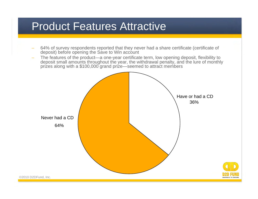### Product Features Attractive

- 64% of survey respondents reported that they never had a share certificate (certificate of deposit) before opening the Save to Win account
- The features of the product—a one-year certificate term, low opening deposit, flexibility to deposit small amounts throughout the year, the withdrawal penalty, and the lure of monthly prizes along with a \$100,000 grand prize—seemed to attract members

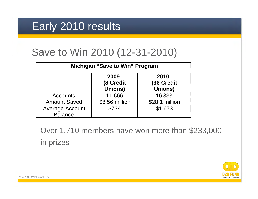## Early 2010 results

## Save to Win 2010 (12-31-2010)

| <b>Michigan "Save to Win" Program</b>    |                                     |                                      |  |  |
|------------------------------------------|-------------------------------------|--------------------------------------|--|--|
|                                          | 2009<br>(8 Credit<br><b>Unions)</b> | 2010<br>(36 Credit<br><b>Unions)</b> |  |  |
| <b>Accounts</b>                          | 11,666                              | 16,833                               |  |  |
| <b>Amount Saved</b>                      | \$8.56 million                      | \$28.1 million                       |  |  |
| <b>Average Account</b><br><b>Balance</b> | \$734                               | \$1,673                              |  |  |

– Over 1,710 members have won more than \$233,000 in prizes

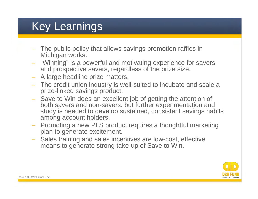## Key Learnings

- The public policy that allows savings promotion raffles in Michigan works.
- "Winning" is a powerful and motivating experience for savers and prospective savers, regardless of the prize size.
- A large headline prize matters.
- The credit union industry is well-suited to incubate and scale a prize-linked savings product.
- Save to Win does an excellent job of getting the attention of both savers and non-savers, but further experimentation and study is needed to develop sustained, consistent savings habits among account holders.
- Promoting a new PLS product requires a thoughtful marketing plan to generate excitement.
- Sales training and sales incentives are low-cost, effective means to generate strong take-up of Save to Win.

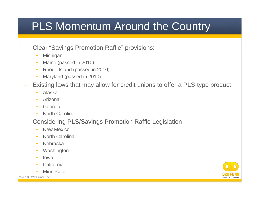## PLS Momentum Around the Country

#### – Clear "Savings Promotion Raffle" provisions:

- + Michigan
- + Maine (passed in 2010)
- + Rhode Island (passed in 2010)
- + Maryland (passed in 2010)
- Existing laws that may allow for credit unions to offer a PLS-type product:
	- + Alaska
	- + Arizona
	- + Georgia
	- + North Carolina
- Considering PLS/Savings Promotion Raffle Legislation
	- + New Mexico
	- + North Carolina
	- + Nebraska
	- + Washington
	- + Iowa
	- + California
	- + Minnesota